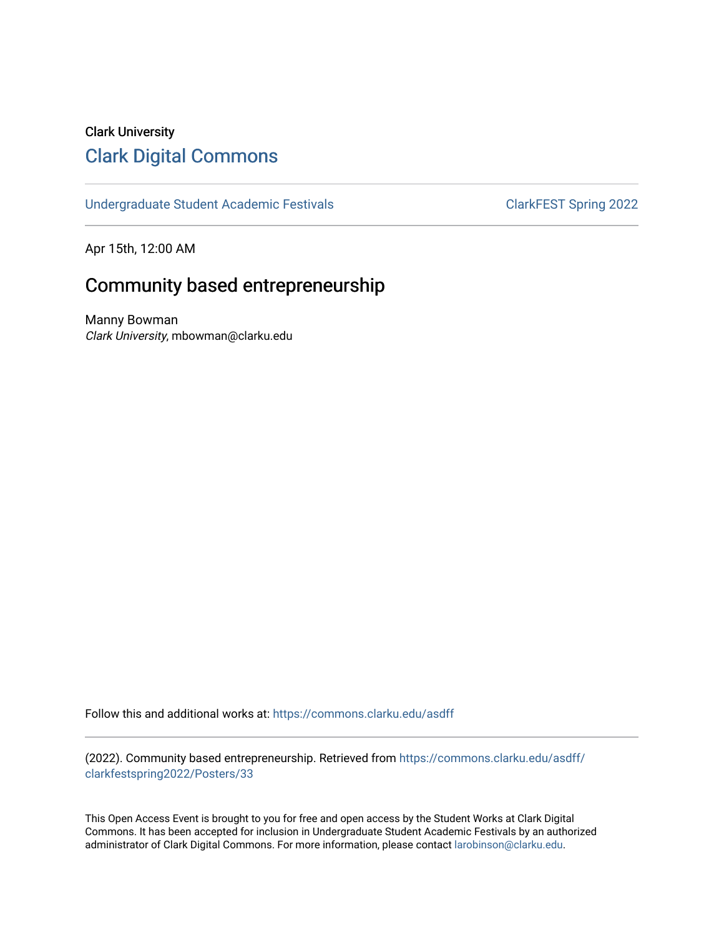## Clark University [Clark Digital Commons](https://commons.clarku.edu/)

[Undergraduate Student Academic Festivals](https://commons.clarku.edu/asdff) ClarkFEST Spring 2022

Apr 15th, 12:00 AM

### Community based entrepreneurship

Manny Bowman Clark University, mbowman@clarku.edu

Follow this and additional works at: [https://commons.clarku.edu/asdff](https://commons.clarku.edu/asdff?utm_source=commons.clarku.edu%2Fasdff%2Fclarkfestspring2022%2FPosters%2F33&utm_medium=PDF&utm_campaign=PDFCoverPages)

(2022). Community based entrepreneurship. Retrieved from [https://commons.clarku.edu/asdff/](https://commons.clarku.edu/asdff/clarkfestspring2022/Posters/33?utm_source=commons.clarku.edu%2Fasdff%2Fclarkfestspring2022%2FPosters%2F33&utm_medium=PDF&utm_campaign=PDFCoverPages) [clarkfestspring2022/Posters/33](https://commons.clarku.edu/asdff/clarkfestspring2022/Posters/33?utm_source=commons.clarku.edu%2Fasdff%2Fclarkfestspring2022%2FPosters%2F33&utm_medium=PDF&utm_campaign=PDFCoverPages)

This Open Access Event is brought to you for free and open access by the Student Works at Clark Digital Commons. It has been accepted for inclusion in Undergraduate Student Academic Festivals by an authorized administrator of Clark Digital Commons. For more information, please contact [larobinson@clarku.edu](mailto:larobinson@clarku.edu).